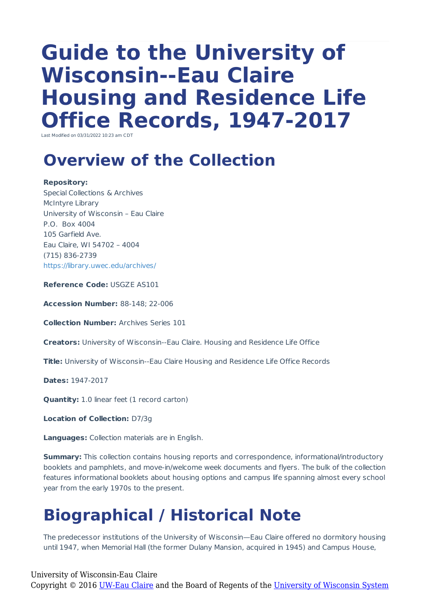# **Guide to the University of Wisconsin--Eau Claire Housing and Residence Life Office Records, 1947-2017**

Last Modified on 03/31/2022 10:23 am CD

#### **Overview of the Collection**

**Repository:** Special Collections & Archives McIntyre Library University of Wisconsin – Eau Claire P.O. Box 4004 105 Garfield Ave. Eau Claire, WI 54702 – 4004 (715) 836-2739 https://library.uwec.edu/archives/

**Reference Code:** USGZE AS101

**Accession Number:** 88-148; 22-006

**Collection Number:** Archives Series 101

**Creators:** University of Wisconsin--Eau Claire. Housing and Residence Life Office

**Title:** University of Wisconsin--Eau Claire Housing and Residence Life Office Records

**Dates:** 1947-2017

**Quantity:** 1.0 linear feet (1 record carton)

**Location of Collection:** D7/3g

**Languages:** Collection materials are in English.

**Summary:** This collection contains housing reports and correspondence, informational/introductory booklets and pamphlets, and move-in/welcome week documents and flyers. The bulk of the collection features informational booklets about housing options and campus life spanning almost every school year from the early 1970s to the present.

#### **Biographical / Historical Note**

The predecessor institutions of the University of Wisconsin—Eau Claire offered no dormitory housing until 1947, when Memorial Hall (the former Dulany Mansion, acquired in 1945) and Campus House,

University of Wisconsin-Eau Claire

Copyright © 2016 [UW-Eau Claire](http://www.uwec.edu) and the Board of Regents of the [University of Wisconsin System](http://www.uwsa.edu/)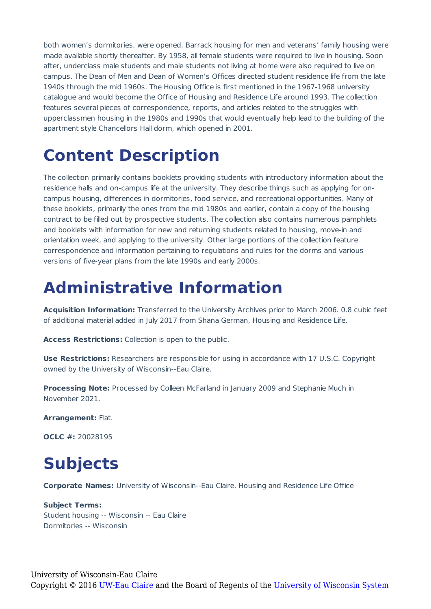both women's dormitories, were opened. Barrack housing for men and veterans' family housing were made available shortly thereafter. By 1958, all female students were required to live in housing. Soon after, underclass male students and male students not living at home were also required to live on campus. The Dean of Men and Dean of Women's Offices directed student residence life from the late 1940s through the mid 1960s. The Housing Office is first mentioned in the 1967-1968 university catalogue and would become the Office of Housing and Residence Life around 1993. The collection features several pieces of correspondence, reports, and articles related to the struggles with upperclassmen housing in the 1980s and 1990s that would eventually help lead to the building of the apartment style Chancellors Hall dorm, which opened in 2001.

## **Content Description**

The collection primarily contains booklets providing students with introductory information about the residence halls and on-campus life at the university. They describe things such as applying for oncampus housing, differences in dormitories, food service, and recreational opportunities. Many of these booklets, primarily the ones from the mid 1980s and earlier, contain a copy of the housing contract to be filled out by prospective students. The collection also contains numerous pamphlets and booklets with information for new and returning students related to housing, move-in and orientation week, and applying to the university. Other large portions of the collection feature correspondence and information pertaining to regulations and rules for the dorms and various versions of five-year plans from the late 1990s and early 2000s.

#### **Administrative Information**

**Acquisition Information:** Transferred to the University Archives prior to March 2006. 0.8 cubic feet of additional material added in July 2017 from Shana German, Housing and Residence Life.

**Access Restrictions:** Collection is open to the public.

**Use Restrictions:** Researchers are responsible for using in accordance with 17 U.S.C. Copyright owned by the University of Wisconsin--Eau Claire.

**Processing Note:** Processed by Colleen McFarland in January 2009 and Stephanie Much in November 2021.

**Arrangement:** Flat.

**OCLC #:** 20028195

### **Subjects**

**Corporate Names:** University of Wisconsin--Eau Claire. Housing and Residence Life Office

**Subject Terms:** Student housing -- Wisconsin -- Eau Claire Dormitories -- Wisconsin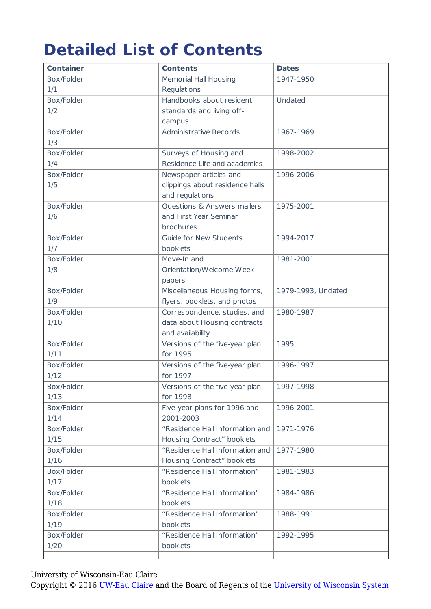## **Detailed List of Contents**

| <b>Container</b>   | <b>Contents</b>                            | <b>Dates</b>       |
|--------------------|--------------------------------------------|--------------------|
| Box/Folder         | <b>Memorial Hall Housing</b>               | 1947-1950          |
| 1/1                | Regulations                                |                    |
| Box/Folder         | Handbooks about resident                   | Undated            |
| 1/2                | standards and living off-                  |                    |
|                    | campus                                     |                    |
| Box/Folder         | <b>Administrative Records</b>              | 1967-1969          |
| 1/3                |                                            |                    |
| Box/Folder         | Surveys of Housing and                     | 1998-2002          |
| 1/4                | Residence Life and academics               |                    |
| Box/Folder         | Newspaper articles and                     | 1996-2006          |
| 1/5                | clippings about residence halls            |                    |
|                    | and regulations                            |                    |
| Box/Folder         | Questions & Answers mailers                | 1975-2001          |
| 1/6                | and First Year Seminar                     |                    |
|                    | brochures                                  |                    |
| Box/Folder         | <b>Guide for New Students</b>              | 1994-2017          |
| 1/7                | booklets                                   |                    |
| Box/Folder         | Move-In and                                | 1981-2001          |
| 1/8                | Orientation/Welcome Week                   |                    |
|                    | papers                                     |                    |
| Box/Folder         | Miscellaneous Housing forms,               | 1979-1993, Undated |
| 1/9                | flyers, booklets, and photos               |                    |
| Box/Folder         | Correspondence, studies, and               | 1980-1987          |
| 1/10               | data about Housing contracts               |                    |
|                    | and availability                           |                    |
| Box/Folder         | Versions of the five-year plan<br>for 1995 | 1995               |
| 1/11<br>Box/Folder | Versions of the five-year plan             | 1996-1997          |
| 1/12               | for 1997                                   |                    |
| Box/Folder         | Versions of the five-year plan             | 1997-1998          |
| 1/13               | for 1998                                   |                    |
| Box/Folder         | Five-year plans for 1996 and               | 1996-2001          |
| 1/14               | 2001-2003                                  |                    |
| Box/Folder         | "Residence Hall Information and            | 1971-1976          |
| 1/15               | Housing Contract" booklets                 |                    |
| Box/Folder         | "Residence Hall Information and            | 1977-1980          |
| 1/16               | Housing Contract" booklets                 |                    |
| Box/Folder         | "Residence Hall Information"               | 1981-1983          |
| 1/17               | booklets                                   |                    |
| Box/Folder         | "Residence Hall Information"               | 1984-1986          |
| 1/18               | booklets                                   |                    |
| Box/Folder         | "Residence Hall Information"               | 1988-1991          |
| 1/19               | booklets                                   |                    |
| Box/Folder         | "Residence Hall Information"               | 1992-1995          |
| 1/20               | booklets                                   |                    |
|                    |                                            |                    |

University of Wisconsin-Eau Claire

Copyright © 2016 [UW-Eau Claire](http://www.uwec.edu) and the Board of Regents of the [University of Wisconsin System](http://www.uwsa.edu/)